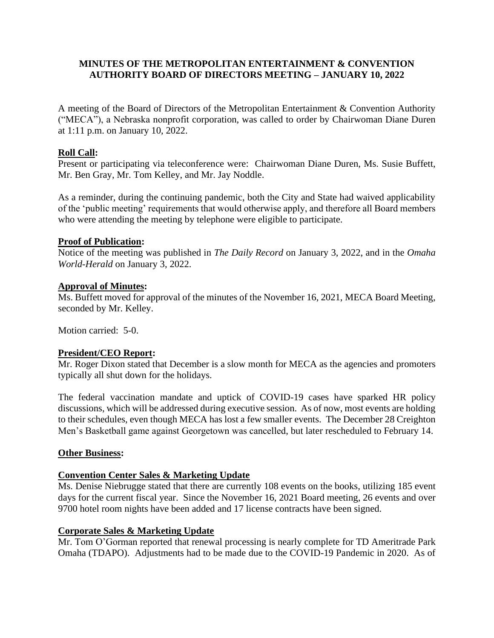### **MINUTES OF THE METROPOLITAN ENTERTAINMENT & CONVENTION AUTHORITY BOARD OF DIRECTORS MEETING – JANUARY 10, 2022**

A meeting of the Board of Directors of the Metropolitan Entertainment & Convention Authority ("MECA"), a Nebraska nonprofit corporation, was called to order by Chairwoman Diane Duren at 1:11 p.m. on January 10, 2022.

## **Roll Call:**

Present or participating via teleconference were: Chairwoman Diane Duren, Ms. Susie Buffett, Mr. Ben Gray, Mr. Tom Kelley, and Mr. Jay Noddle.

As a reminder, during the continuing pandemic, both the City and State had waived applicability of the 'public meeting' requirements that would otherwise apply, and therefore all Board members who were attending the meeting by telephone were eligible to participate.

### **Proof of Publication:**

Notice of the meeting was published in *The Daily Record* on January 3, 2022, and in the *Omaha World-Herald* on January 3, 2022.

### **Approval of Minutes:**

Ms. Buffett moved for approval of the minutes of the November 16, 2021, MECA Board Meeting, seconded by Mr. Kelley.

Motion carried: 5-0.

## **President/CEO Report:**

Mr. Roger Dixon stated that December is a slow month for MECA as the agencies and promoters typically all shut down for the holidays.

The federal vaccination mandate and uptick of COVID-19 cases have sparked HR policy discussions, which will be addressed during executive session. As of now, most events are holding to their schedules, even though MECA has lost a few smaller events. The December 28 Creighton Men's Basketball game against Georgetown was cancelled, but later rescheduled to February 14.

### **Other Business:**

### **Convention Center Sales & Marketing Update**

Ms. Denise Niebrugge stated that there are currently 108 events on the books, utilizing 185 event days for the current fiscal year. Since the November 16, 2021 Board meeting, 26 events and over 9700 hotel room nights have been added and 17 license contracts have been signed.

### **Corporate Sales & Marketing Update**

Mr. Tom O'Gorman reported that renewal processing is nearly complete for TD Ameritrade Park Omaha (TDAPO). Adjustments had to be made due to the COVID-19 Pandemic in 2020. As of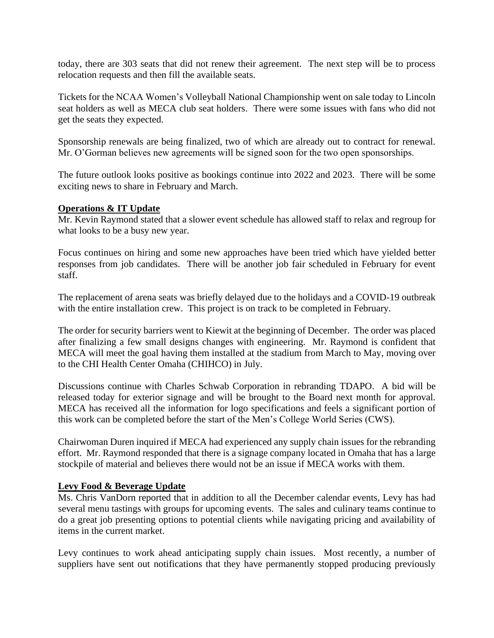today, there are 303 seats that did not renew their agreement. The next step will be to process relocation requests and then fill the available seats.

Tickets for the NCAA Women's Volleyball National Championship went on sale today to Lincoln seat holders as well as MECA club seat holders. There were some issues with fans who did not get the seats they expected.

Sponsorship renewals are being finalized, two of which are already out to contract for renewal. Mr. O'Gorman believes new agreements will be signed soon for the two open sponsorships.

The future outlook looks positive as bookings continue into 2022 and 2023. There will be some exciting news to share in February and March.

### **Operations & IT Update**

Mr. Kevin Raymond stated that a slower event schedule has allowed staff to relax and regroup for what looks to be a busy new year.

Focus continues on hiring and some new approaches have been tried which have yielded better responses from job candidates. There will be another job fair scheduled in February for event staff.

The replacement of arena seats was briefly delayed due to the holidays and a COVID-19 outbreak with the entire installation crew. This project is on track to be completed in February.

The order for security barriers went to Kiewit at the beginning of December. The order was placed after finalizing a few small designs changes with engineering. Mr. Raymond is confident that MECA will meet the goal having them installed at the stadium from March to May, moving over to the CHI Health Center Omaha (CHIHCO) in July.

Discussions continue with Charles Schwab Corporation in rebranding TDAPO. A bid will be released today for exterior signage and will be brought to the Board next month for approval. MECA has received all the information for logo specifications and feels a significant portion of this work can be completed before the start of the Men's College World Series (CWS).

Chairwoman Duren inquired if MECA had experienced any supply chain issues for the rebranding effort. Mr. Raymond responded that there is a signage company located in Omaha that has a large stockpile of material and believes there would not be an issue if MECA works with them.

### **Levy Food & Beverage Update**

Ms. Chris VanDorn reported that in addition to all the December calendar events, Levy has had several menu tastings with groups for upcoming events. The sales and culinary teams continue to do a great job presenting options to potential clients while navigating pricing and availability of items in the current market.

Levy continues to work ahead anticipating supply chain issues. Most recently, a number of suppliers have sent out notifications that they have permanently stopped producing previously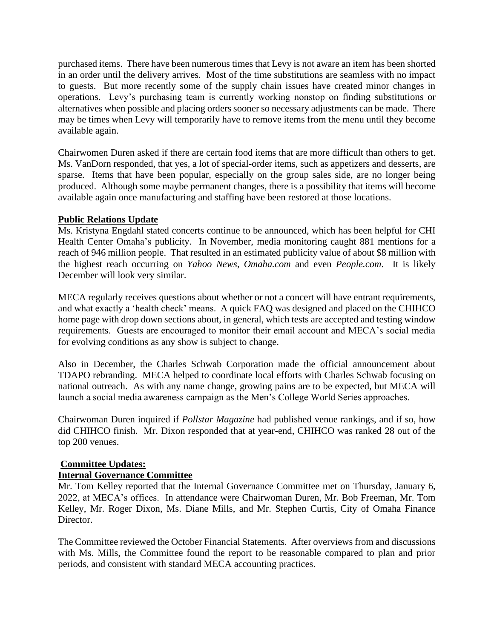purchased items. There have been numerous times that Levy is not aware an item has been shorted in an order until the delivery arrives. Most of the time substitutions are seamless with no impact to guests. But more recently some of the supply chain issues have created minor changes in operations. Levy's purchasing team is currently working nonstop on finding substitutions or alternatives when possible and placing orders sooner so necessary adjustments can be made. There may be times when Levy will temporarily have to remove items from the menu until they become available again.

Chairwomen Duren asked if there are certain food items that are more difficult than others to get. Ms. VanDorn responded, that yes, a lot of special-order items, such as appetizers and desserts, are sparse. Items that have been popular, especially on the group sales side, are no longer being produced. Although some maybe permanent changes, there is a possibility that items will become available again once manufacturing and staffing have been restored at those locations.

### **Public Relations Update**

Ms. Kristyna Engdahl stated concerts continue to be announced, which has been helpful for CHI Health Center Omaha's publicity. In November, media monitoring caught 881 mentions for a reach of 946 million people. That resulted in an estimated publicity value of about \$8 million with the highest reach occurring on *Yahoo News*, *Omaha.com* and even *People.com*. It is likely December will look very similar.

MECA regularly receives questions about whether or not a concert will have entrant requirements, and what exactly a 'health check' means. A quick FAQ was designed and placed on the CHIHCO home page with drop down sections about, in general, which tests are accepted and testing window requirements. Guests are encouraged to monitor their email account and MECA's social media for evolving conditions as any show is subject to change.

Also in December, the Charles Schwab Corporation made the official announcement about TDAPO rebranding. MECA helped to coordinate local efforts with Charles Schwab focusing on national outreach. As with any name change, growing pains are to be expected, but MECA will launch a social media awareness campaign as the Men's College World Series approaches.

Chairwoman Duren inquired if *Pollstar Magazine* had published venue rankings, and if so, how did CHIHCO finish. Mr. Dixon responded that at year-end, CHIHCO was ranked 28 out of the top 200 venues.

## **Committee Updates:**

## **Internal Governance Committee**

Mr. Tom Kelley reported that the Internal Governance Committee met on Thursday, January 6, 2022, at MECA's offices. In attendance were Chairwoman Duren, Mr. Bob Freeman, Mr. Tom Kelley, Mr. Roger Dixon, Ms. Diane Mills, and Mr. Stephen Curtis, City of Omaha Finance Director.

The Committee reviewed the October Financial Statements. After overviews from and discussions with Ms. Mills, the Committee found the report to be reasonable compared to plan and prior periods, and consistent with standard MECA accounting practices.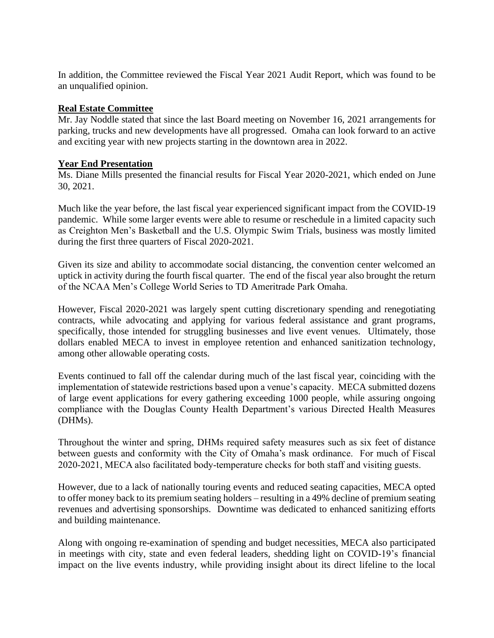In addition, the Committee reviewed the Fiscal Year 2021 Audit Report, which was found to be an unqualified opinion.

### **Real Estate Committee**

Mr. Jay Noddle stated that since the last Board meeting on November 16, 2021 arrangements for parking, trucks and new developments have all progressed. Omaha can look forward to an active and exciting year with new projects starting in the downtown area in 2022.

### **Year End Presentation**

Ms. Diane Mills presented the financial results for Fiscal Year 2020-2021, which ended on June 30, 2021.

Much like the year before, the last fiscal year experienced significant impact from the COVID-19 pandemic. While some larger events were able to resume or reschedule in a limited capacity such as Creighton Men's Basketball and the U.S. Olympic Swim Trials, business was mostly limited during the first three quarters of Fiscal 2020-2021.

Given its size and ability to accommodate social distancing, the convention center welcomed an uptick in activity during the fourth fiscal quarter. The end of the fiscal year also brought the return of the NCAA Men's College World Series to TD Ameritrade Park Omaha.

However, Fiscal 2020-2021 was largely spent cutting discretionary spending and renegotiating contracts, while advocating and applying for various federal assistance and grant programs, specifically, those intended for struggling businesses and live event venues. Ultimately, those dollars enabled MECA to invest in employee retention and enhanced sanitization technology, among other allowable operating costs.

Events continued to fall off the calendar during much of the last fiscal year, coinciding with the implementation of statewide restrictions based upon a venue's capacity. MECA submitted dozens of large event applications for every gathering exceeding 1000 people, while assuring ongoing compliance with the Douglas County Health Department's various Directed Health Measures (DHMs).

Throughout the winter and spring, DHMs required safety measures such as six feet of distance between guests and conformity with the City of Omaha's mask ordinance. For much of Fiscal 2020-2021, MECA also facilitated body-temperature checks for both staff and visiting guests.

However, due to a lack of nationally touring events and reduced seating capacities, MECA opted to offer money back to its premium seating holders – resulting in a 49% decline of premium seating revenues and advertising sponsorships. Downtime was dedicated to enhanced sanitizing efforts and building maintenance.

Along with ongoing re-examination of spending and budget necessities, MECA also participated in meetings with city, state and even federal leaders, shedding light on COVID-19's financial impact on the live events industry, while providing insight about its direct lifeline to the local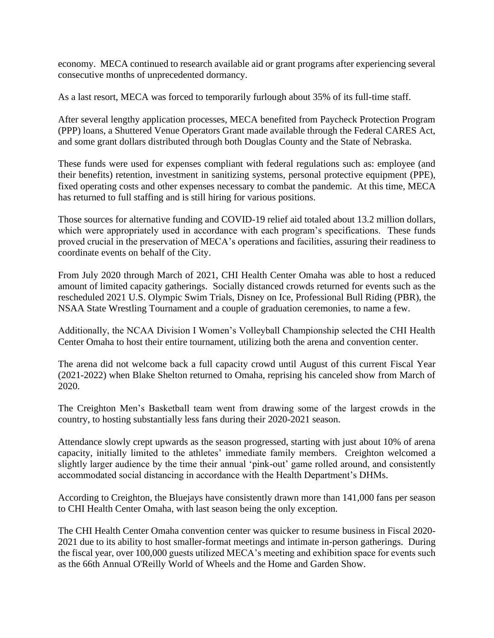economy. MECA continued to research available aid or grant programs after experiencing several consecutive months of unprecedented dormancy.

As a last resort, MECA was forced to temporarily furlough about 35% of its full-time staff.

After several lengthy application processes, MECA benefited from Paycheck Protection Program (PPP) loans, a Shuttered Venue Operators Grant made available through the Federal CARES Act, and some grant dollars distributed through both Douglas County and the State of Nebraska.

These funds were used for expenses compliant with federal regulations such as: employee (and their benefits) retention, investment in sanitizing systems, personal protective equipment (PPE), fixed operating costs and other expenses necessary to combat the pandemic. At this time, MECA has returned to full staffing and is still hiring for various positions.

Those sources for alternative funding and COVID-19 relief aid totaled about 13.2 million dollars, which were appropriately used in accordance with each program's specifications. These funds proved crucial in the preservation of MECA's operations and facilities, assuring their readiness to coordinate events on behalf of the City.

From July 2020 through March of 2021, CHI Health Center Omaha was able to host a reduced amount of limited capacity gatherings. Socially distanced crowds returned for events such as the rescheduled 2021 U.S. Olympic Swim Trials, Disney on Ice, Professional Bull Riding (PBR), the NSAA State Wrestling Tournament and a couple of graduation ceremonies, to name a few.

Additionally, the NCAA Division I Women's Volleyball Championship selected the CHI Health Center Omaha to host their entire tournament, utilizing both the arena and convention center.

The arena did not welcome back a full capacity crowd until August of this current Fiscal Year (2021-2022) when Blake Shelton returned to Omaha, reprising his canceled show from March of 2020.

The Creighton Men's Basketball team went from drawing some of the largest crowds in the country, to hosting substantially less fans during their 2020-2021 season.

Attendance slowly crept upwards as the season progressed, starting with just about 10% of arena capacity, initially limited to the athletes' immediate family members. Creighton welcomed a slightly larger audience by the time their annual 'pink-out' game rolled around, and consistently accommodated social distancing in accordance with the Health Department's DHMs.

According to Creighton, the Bluejays have consistently drawn more than 141,000 fans per season to CHI Health Center Omaha, with last season being the only exception.

The CHI Health Center Omaha convention center was quicker to resume business in Fiscal 2020- 2021 due to its ability to host smaller-format meetings and intimate in-person gatherings. During the fiscal year, over 100,000 guests utilized MECA's meeting and exhibition space for events such as the 66th Annual O'Reilly World of Wheels and the Home and Garden Show.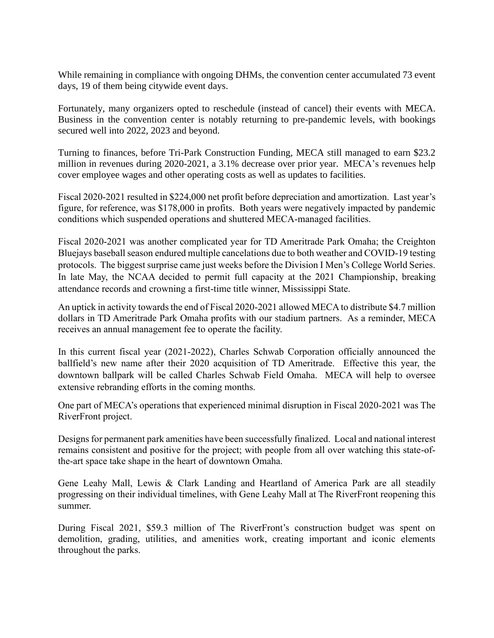While remaining in compliance with ongoing DHMs, the convention center accumulated 73 event days, 19 of them being citywide event days.

Fortunately, many organizers opted to reschedule (instead of cancel) their events with MECA. Business in the convention center is notably returning to pre-pandemic levels, with bookings secured well into 2022, 2023 and beyond.

Turning to finances, before Tri-Park Construction Funding, MECA still managed to earn \$23.2 million in revenues during 2020-2021, a 3.1% decrease over prior year. MECA's revenues help cover employee wages and other operating costs as well as updates to facilities.

Fiscal 2020-2021 resulted in \$224,000 net profit before depreciation and amortization. Last year's figure, for reference, was \$178,000 in profits. Both years were negatively impacted by pandemic conditions which suspended operations and shuttered MECA-managed facilities.

Fiscal 2020-2021 was another complicated year for TD Ameritrade Park Omaha; the Creighton Bluejays baseball season endured multiple cancelations due to both weather and COVID-19 testing protocols. The biggest surprise came just weeks before the Division I Men's College World Series. In late May, the NCAA decided to permit full capacity at the 2021 Championship, breaking attendance records and crowning a first-time title winner, Mississippi State.

An uptick in activity towards the end of Fiscal 2020-2021 allowed MECA to distribute \$4.7 million dollars in TD Ameritrade Park Omaha profits with our stadium partners. As a reminder, MECA receives an annual management fee to operate the facility.

In this current fiscal year (2021-2022), Charles Schwab Corporation officially announced the ballfield's new name after their 2020 acquisition of TD Ameritrade. Effective this year, the downtown ballpark will be called Charles Schwab Field Omaha. MECA will help to oversee extensive rebranding efforts in the coming months.

One part of MECA's operations that experienced minimal disruption in Fiscal 2020-2021 was The RiverFront project.

Designs for permanent park amenities have been successfully finalized. Local and national interest remains consistent and positive for the project; with people from all over watching this state-ofthe-art space take shape in the heart of downtown Omaha.

Gene Leahy Mall, Lewis & Clark Landing and Heartland of America Park are all steadily progressing on their individual timelines, with Gene Leahy Mall at The RiverFront reopening this summer.

During Fiscal 2021, \$59.3 million of The RiverFront's construction budget was spent on demolition, grading, utilities, and amenities work, creating important and iconic elements throughout the parks.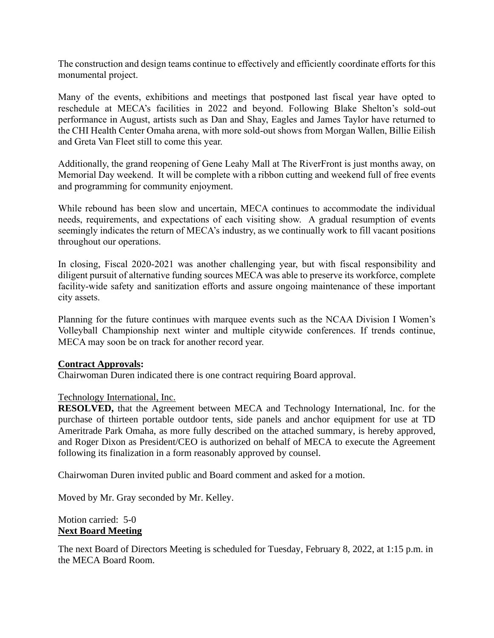The construction and design teams continue to effectively and efficiently coordinate efforts for this monumental project.

Many of the events, exhibitions and meetings that postponed last fiscal year have opted to reschedule at MECA's facilities in 2022 and beyond. Following Blake Shelton's sold-out performance in August, artists such as Dan and Shay, Eagles and James Taylor have returned to the CHI Health Center Omaha arena, with more sold-out shows from Morgan Wallen, Billie Eilish and Greta Van Fleet still to come this year.

Additionally, the grand reopening of Gene Leahy Mall at The RiverFront is just months away, on Memorial Day weekend. It will be complete with a ribbon cutting and weekend full of free events and programming for community enjoyment.

While rebound has been slow and uncertain, MECA continues to accommodate the individual needs, requirements, and expectations of each visiting show. A gradual resumption of events seemingly indicates the return of MECA's industry, as we continually work to fill vacant positions throughout our operations.

In closing, Fiscal 2020-2021 was another challenging year, but with fiscal responsibility and diligent pursuit of alternative funding sources MECA was able to preserve its workforce, complete facility-wide safety and sanitization efforts and assure ongoing maintenance of these important city assets.

Planning for the future continues with marquee events such as the NCAA Division I Women's Volleyball Championship next winter and multiple citywide conferences. If trends continue, MECA may soon be on track for another record year.

### **Contract Approvals:**

Chairwoman Duren indicated there is one contract requiring Board approval.

### Technology International, Inc.

**RESOLVED,** that the Agreement between MECA and Technology International, Inc. for the purchase of thirteen portable outdoor tents, side panels and anchor equipment for use at TD Ameritrade Park Omaha, as more fully described on the attached summary, is hereby approved, and Roger Dixon as President/CEO is authorized on behalf of MECA to execute the Agreement following its finalization in a form reasonably approved by counsel.

Chairwoman Duren invited public and Board comment and asked for a motion.

Moved by Mr. Gray seconded by Mr. Kelley.

### Motion carried: 5-0 **Next Board Meeting**

The next Board of Directors Meeting is scheduled for Tuesday, February 8, 2022, at 1:15 p.m. in the MECA Board Room.